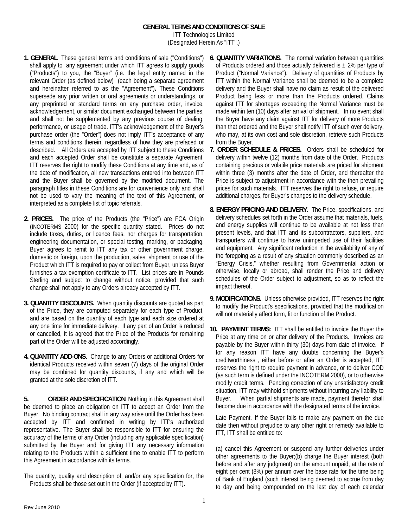## **GENERAL TERMS AND CONDITIONS OF SALE**

ITT Technologies Limited (Designated Herein As "ITT".)

- **1. GENERAL** These general terms and conditions of sale ("Conditions") shall apply to any agreement under which ITT agrees to supply goods ("Products") to you, the "Buyer" (i.e. the legal entity named in the relevant Order (as defined below) (each being a separate agreement and hereinafter referred to as the "Agreement")**.** These Conditions supersede any prior written or oral agreements or understandings, or any preprinted or standard terms on any purchase order, invoice, acknowledgement, or similar document exchanged between the parties, and shall not be supplemented by any previous course of dealing, performance, or usage of trade. ITT's acknowledgement of the Buyer's purchase order (the "Order") does not imply ITT's acceptance of any terms and conditions therein, regardless of how they are prefaced or described. All Orders are accepted by ITT subject to these Conditions and each accepted Order shall be constitute a separate Agreement. ITT reserves the right to modify these Conditions at any time and, as of the date of modification, all new transactions entered into between ITT and the Buyer shall be governed by the modified document. The paragraph titles in these Conditions are for convenience only and shall not be used to vary the meaning of the text of this Agreement, or interpreted as a complete list of topic referrals.
- **2. PRICES.** The price of the Products (the "Price") are FCA Origin (INCOTERMS 2000) for the specific quantity stated. Prices do not include taxes, duties, or licence fees, nor charges for transportation, engineering documentation, or special testing, marking, or packaging. Buyer agrees to remit to ITT any tax or other government charge, domestic or foreign, upon the production, sales, shipment or use of the Product which ITT is required to pay or collect from Buyer, unless Buyer furnishes a tax exemption certificate to ITT. List prices are in Pounds Sterling and subject to change without notice, provided that such change shall not apply to any Orders already accepted by ITT.
- **3. QUANTITY DISCOUNTS.** When quantity discounts are quoted as part of the Price, they are computed separately for each type of Product, and are based on the quantity of each type and each size ordered at any one time for immediate delivery. If any part of an Order is reduced or cancelled, it is agreed that the Price of the Products for remaining part of the Order will be adjusted accordingly.
- **4. QUANTITY ADD-ONS.** Change to any Orders or additional Orders for identical Products received within seven (7) days of the original Order may be combined for quantity discounts, if any and which will be granted at the sole discretion of ITT.

**5. ORDER AND SPECIFICATION**. Nothing in this Agreement shall be deemed to place an obligation on ITT to accept an Order from the Buyer. No binding contract shall in any way arise until the Order has been accepted by ITT and confirmed in writing by ITT's authorized representative. The Buyer shall be responsible to ITT for ensuring the accuracy of the terms of any Order (including any applicable specification) submitted by the Buyer and for giving ITT any necessary information relating to the Products within a sufficient time to enable ITT to perform this Agreement in accordance with its terms.

The quantity, quality and description of, and/or any specification for, the Products shall be those set out in the Order (if accepted by ITT).

- **6. QUANTITY VARIATIONS.** The normal variation between quantities of Products ordered and those actually delivered is  $\pm$  2% per type of Product ("Normal Variance"). Delivery of quantities of Products by ITT within the Normal Variance shall be deemed to be a complete delivery and the Buyer shall have no claim as result of the delivered Product being less or more than the Products ordered. Claims against ITT for shortages exceeding the Normal Variance must be made within ten (10) days after arrival of shipment. In no event shall the Buyer have any claim against ITT for delivery of more Products than that ordered and the Buyer shall notify ITT of such over delivery, who may, at its own cost and sole discretion, retrieve such Products from the Buyer.
- **7. ORDER SCHEDULE & PRICES.** Orders shall be scheduled for delivery within twelve (12) months from date of the Order. Products containing precious or volatile price materials are priced for shipment within three (3) months after the date of Order, and thereafter the Price is subject to adjustment in accordance with the then prevailing prices for such materials. ITT reserves the right to refuse, or require additional charges, for Buyer's changes to the delivery schedule.
- **8. ENERGY PRICING AND DELIVERY.** The Price, specifications, and delivery schedules set forth in the Order assume that materials, fuels, and energy supplies will continue to be available at not less than present levels, and that ITT and its subcontractors, suppliers, and transporters will continue to have unimpeded use of their facilities and equipment. Any significant reduction in the availability of any of the foregoing as a result of any situation commonly described as an "Energy Crisis," whether resulting from Governmental action or otherwise, locally or abroad, shall render the Price and delivery schedules of the Order subject to adjustment, so as to reflect the impact thereof.
- **9. MODIFICATIONS.** Unless otherwise provided, ITT reserves the right to modify the Product's specifications, provided that the modification will not materially affect form, fit or function of the Product.
- **10. PAYMENT TERMS:** ITT shall be entitled to invoice the Buyer the Price at any time on or after delivery of the Products. Invoices are payable by the Buyer within thirty (30) days from date of invoice. If for any reason ITT have any doubts concerning the Buyer's creditworthiness , either before or after an Order is accepted, ITT reserves the right to require payment in advance, or to deliver COD (as such term is defined under the INCOTERM 2000), or to otherwise modify credit terms. Pending correction of any unsatisfactory credit situation, ITT may withhold shipments without incurring any liability to Buyer. When partial shipments are made, payment therefor shall become due in accordance with the designated terms of the invoice.

Late Payment. If the Buyer fails to make any payment on the due date then without prejudice to any other right or remedy available to ITT, ITT shall be entitled to:

(a) cancel this Agreement or suspend any further deliveries under other agreements to the Buyer;(b) charge the Buyer interest (both before and after any judgment) on the amount unpaid, at the rate of eight per cent (8%) per annum over the base rate for the time being of Bank of England (such interest being deemed to accrue from day to day and being compounded on the last day of each calendar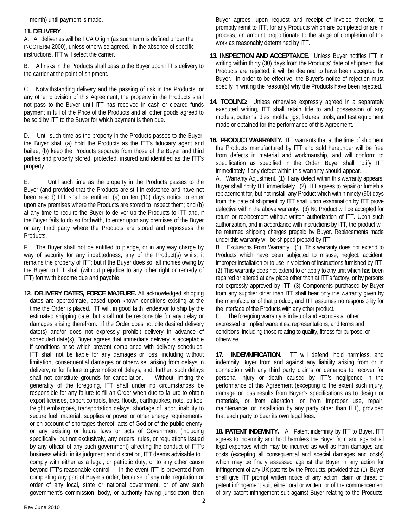month) until payment is made.

## **11. DELIVERY**.

A. All deliveries will be FCA Origin (as such term is defined under the INCOTERM 2000), unless otherwise agreed. In the absence of specific instructions, ITT will select the carrier.

B. All risks in the Products shall pass to the Buyer upon ITT's delivery to the carrier at the point of shipment.

C. Notwithstanding delivery and the passing of risk in the Products, or any other provision of this Agreement, the property in the Products shall not pass to the Buyer until ITT has received in cash or cleared funds payment in full of the Price of the Products and all other goods agreed to be sold by ITT to the Buyer for which payment is then due.

D. Until such time as the property in the Products passes to the Buyer, the Buyer shall (a) hold the Products as the ITT's fiduciary agent and bailee; (b) keep the Products separate from those of the Buyer and third parties and properly stored, protected, insured and identified as the ITT's property.

E. Until such time as the property in the Products passes to the Buyer (and provided that the Products are still in existence and have not been resold) ITT shall be entitled: (a) on ten (10) days notice to enter upon any premises where the Products are stored to inspect them; and (b) at any time to require the Buyer to deliver up the Products to ITT and, if the Buyer fails to do so forthwith, to enter upon any premises of the Buyer or any third party where the Products are stored and repossess the Products.

F. The Buyer shall not be entitled to pledge, or in any way charge by way of security for any indebtedness, any of the Product(s) whilst it remains the property of ITT; but if the Buyer does so, all monies owing by the Buyer to ITT shall (without prejudice to any other right or remedy of ITT) forthwith become due and payable.

**12. DELIVERY DATES, FORCE MAJEURE.** All acknowledged shipping dates are approximate, based upon known conditions existing at the time the Order is placed. ITT will, in good faith, endeavor to ship by the estimated shipping date, but shall not be responsible for any delay or damages arising therefrom. If the Order does not cite desired delivery date(s) and/or does not expressly prohibit delivery in advance of scheduled date(s), Buyer agrees that immediate delivery is acceptable if conditions arise which prevent compliance with delivery schedules. ITT shall not be liable for any damages or loss, including without limitation, consequential damages or otherwise, arising from delays in delivery, or for failure to give notice of delays, and, further, such delays shall not constitute grounds for cancellation. Without limiting the generality of the foregoing, ITT shall under no circumstances be responsible for any failure to fill an Order when due to failure to obtain export licenses, export controls, fires, floods, earthquakes, riots, strikes, freight embargoes, transportation delays, shortage of labor, inability to secure fuel, material, supplies or power or other energy requirements, or on account of shortages thereof, acts of God or of the public enemy, or any existing or future laws or acts of Government (including specifically, but not exclusively, any orders, rules, or regulations issued by any official of any such government) affecting the conduct of ITT's business which, in its judgment and discretion, ITT deems advisable to comply with either as a legal, or patriotic duty, or to any other cause beyond ITT's reasonable control. In the event ITT is prevented from completing any part of Buyer's order, because of any rule, regulation or order of any local, state or national government, or of any such government's commission, body, or authority having jurisdiction, then

Buyer agrees, upon request and receipt of invoice therefor, to promptly remit to ITT, for any Products which are completed or are in process, an amount proportionate to the stage of completion of the work as reasonably determined by ITT.

- **13. INSPECTION AND ACCEPTANCE.** Unless Buyer notifies ITT in writing within thirty (30) days from the Products' date of shipment that Products are rejected, it will be deemed to have been accepted by Buyer. In order to be effective, the Buyer's notice of rejection must specify in writing the reason(s) why the Products have been rejected.
- **14. TOOLING:** Unless otherwise expressly agreed in a separately executed writing, ITT shall retain title to and possession of any models, patterns, dies, molds, jigs, fixtures, tools, and test equipment made or obtained for the performance of this Agreement.
- **16. PRODUCT WARRANTY.** ITT warrants that at the time of shipment the Products manufactured by ITT and sold hereunder will be free from defects in material and workmanship, and will conform to specification as specified in the Order. Buyer shall notify ITT immediately if any defect within this warranty should appear.

 A. Warranty Adjustment. (1) If any defect within this warranty appears, Buyer shall notify ITT immediately. (2) ITT agrees to repair or furnish a replacement for, but not install, any Product which within ninety (90) days from the date of shipment by ITT shall upon examination by ITT prove defective within the above warranty. (3) No Product will be accepted for return or replacement without written authorization of ITT. Upon such authorization, and in accordance with instructions by ITT, the product will be returned shipping charges prepaid by Buyer. Replacements made under this warranty will be shipped prepaid by ITT.

 B. Exclusions From Warranty. (1) This warranty does not extend to Products which have been subjected to misuse, neglect, accident, improper installation or to use in violation of instructions furnished by ITT. (2) This warranty does not extend to or apply to any unit which has been repaired or altered at any place other than at ITT's factory, or by persons not expressly approved by ITT. (3) Components purchased by Buyer from any supplier other than ITT shall bear only the warranty given by the manufacturer of that product, and ITT assumes no responsibility for the interface of the Products with any other product.

C. The foregoing warranty is in lieu of and excludes all other expressed or implied warranties, representations, and terms and conditions, including those relating to quality, fitness for purpose, or otherwise.

**17. INDEMNIFICATION**. ITT will defend, hold harmless, and indemnify Buyer from and against any liability arising from or in connection with any third party claims or demands to recover for personal injury or death caused by ITT's negligence in the performance of this Agreement (excepting to the extent such injury, damage or loss results from Buyer's specifications as to design or materials, or from alteration, or from improper use, repair, maintenance, or installation by any party other than ITT), provided that each party to bear its own legal fees.

 **18. PATENT INDEMNITY.** A. Patent indemnity by ITT to Buyer. ITT agrees to indemnity and hold harmless the Buyer from and against all legal expenses which may be incurred as well as from damages and costs (excepting all consequential and special damages and costs) which may be finally assessed against the Buyer in any action for infringement of any UK patents by the Products, provided that: (1) Buyer shall give ITT prompt written notice of any action, claim or threat of patent infringement suit, either oral or written, or of the commencement of any patent infringement suit against Buyer relating to the Products;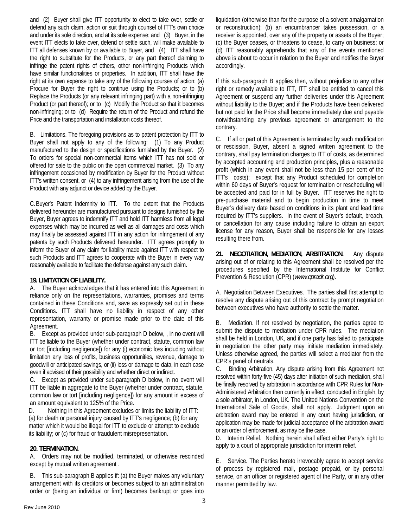and (2) Buyer shall give ITT opportunity to elect to take over, settle or defend any such claim, action or suit through counsel of ITT's own choice and under its sole direction, and at its sole expense; and (3) Buyer, in the event ITT elects to take over, defend or settle such, will make available to ITT all defenses known by or available to Buyer, and (4) ITT shall have the right to substitute for the Products, or any part thereof claiming to infringe the patent rights of others, other non-infringing Products which have similar functionalities or properties. In addition, ITT shall have the right at its own expense to take any of the following courses of action: (a) Procure for Buyer the right to continue using the Products; or to (b) Replace the Products (or any relevant infringing part) with a non-infringing Product (or part thereof); or to (c) Modify the Product so that it becomes non-infringing; or to (d) Require the return of the Product and refund the Price and the transportation and installation costs thereof.

 B. Limitations. The foregoing provisions as to patent protection by ITT to Buyer shall not apply to any of the following: (1) To any Product manufactured to the design or specifications furnished by the Buyer. (2) To orders for special non-commercial items which ITT has not sold or offered for sale to the public on the open commercial market. (3) To any infringement occasioned by modification by Buyer for the Product without ITT's written consent, or (4) to any infringement arising from the use of the Product with any adjunct or device added by the Buyer.

 C. Buyer's Patent Indemnity to ITT. To the extent that the Products delivered hereunder are manufactured pursuant to designs furnished by the Buyer, Buyer agrees to indemnify ITT and hold ITT harmless from all legal expenses which may be incurred as well as all damages and costs which may finally be assessed against ITT in any action for infringement of any patents by such Products delivered hereunder. ITT agrees promptly to inform the Buyer of any claim for liability made against ITT with respect to such Products and ITT agrees to cooperate with the Buyer in every way reasonably available to facilitate the defense against any such claim.

## **19. LIMITATION OF LIABILITY.**

A. The Buyer acknowledges that it has entered into this Agreement in reliance only on the representations, warranties, promises and terms contained in these Conditions and, save as expressly set out in these Conditions. ITT shall have no liability in respect of any other representation, warranty or promise made prior to the date of this Agreement.

B. Except as provided under sub-paragraph D below, , in no event will ITT be liable to the Buyer (whether under contract, statute, common law or tort [including negligence]) for any (i) economic loss including without limitation any loss of profits, business opportunities, revenue, damage to goodwill or anticipated savings, or (ii) loss or damage to data, in each case even if advised of their possibility and whether direct or indirect.

C. Except as provided under sub-paragraph D below, in no event will ITT be liable in aggregate to the Buyer (whether under contract, statute, common law or tort [including negligence]) for any amount in excess of an amount equivalent to 125% of the Price.

D. Nothing in this Agreement excludes or limits the liability of ITT: (a) for death or personal injury caused by ITT's negligence; (b) for any matter which it would be illegal for ITT to exclude or attempt to exclude its liability; or (c) for fraud or fraudulent misrepresentation.

## **20. TERMINATION.**

A. Orders may not be modified, terminated, or otherwise rescinded except by mutual written agreement .

B. This sub-paragraph B applies if: (a) the Buyer makes any voluntary arrangement with its creditors or becomes subject to an administration order or (being an individual or firm) becomes bankrupt or goes into liquidation (otherwise than for the purpose of a solvent amalgamation or reconstruction); (b) an encumbrancer takes possession, or a receiver is appointed, over any of the property or assets of the Buyer; (c) the Buyer ceases, or threatens to cease, to carry on business; or (d) ITT reasonably apprehends that any of the events mentioned above is about to occur in relation to the Buyer and notifies the Buyer accordingly.

If this sub-paragraph B applies then, without prejudice to any other right or remedy available to ITT, ITT shall be entitled to cancel this Agreement or suspend any further deliveries under this Agreement without liability to the Buyer; and if the Products have been delivered but not paid for the Price shall become immediately due and payable notwithstanding any previous agreement or arrangement to the contrary.

C. If all or part of this Agreement is terminated by such modification or rescission, Buyer, absent a signed written agreement to the contrary, shall pay termination charges to ITT of costs, as determined by accepted accounting and production principles, plus a reasonable profit (which in any event shall not be less than 15 per cent of the ITT's costs); except that any Product scheduled for completion within 60 days of Buyer's request for termination or rescheduling will be accepted and paid for in full by Buyer. ITT reserves the right to pre-purchase material and to begin production in time to meet Buyer's delivery date based on conditions in its plant and lead time required by ITT's suppliers. In the event of Buyer's default, breach, or cancellation for any cause including failure to obtain an export license for any reason, Buyer shall be responsible for any losses resulting there from.

**21. NEGOTIATION, MEDIATION, ARBITRATION.** Any dispute arising out of or relating to this Agreement shall be resolved per the procedures specified by the International Institute for Conflict Prevention & Resolution (CPR) (*[www.cpradr.org](http://www.cpradr.org/)*).

A. Negotiation Between Executives. The parties shall first attempt to resolve any dispute arising out of this contract by prompt negotiation between executives who have authority to settle the matter.

B. Mediation. If not resolved by negotiation, the parties agree to submit the dispute to mediation under CPR rules. The mediation shall be held in London, UK, and if one party has failed to participate in negotiation the other party may initiate mediation immediately. Unless otherwise agreed, the parties will select a mediator from the CPR's panel of neutrals.

C. Binding Arbitration. Any dispute arising from this Agreement not resolved within forty-five (45) days after initiation of such mediation, shall be finally resolved by arbitration in accordance with CPR Rules for Non-Administered Arbitration then currently in effect, conducted in English, by a sole arbitrator, in London, UK. The United Nations Convention on the International Sale of Goods, shall not apply. Judgment upon an arbitration award may be entered in any court having jurisdiction, or application may be made for judicial acceptance of the arbitration award or an order of enforcement, as may be the case.

D. Interim Relief. Nothing herein shall affect either Party's right to apply to a court of appropriate jurisdiction for interim relief.

E. Service. The Parties hereto irrevocably agree to accept service of process by registered mail, postage prepaid, or by personal service, on an officer or registered agent of the Party, or in any other manner permitted by law.